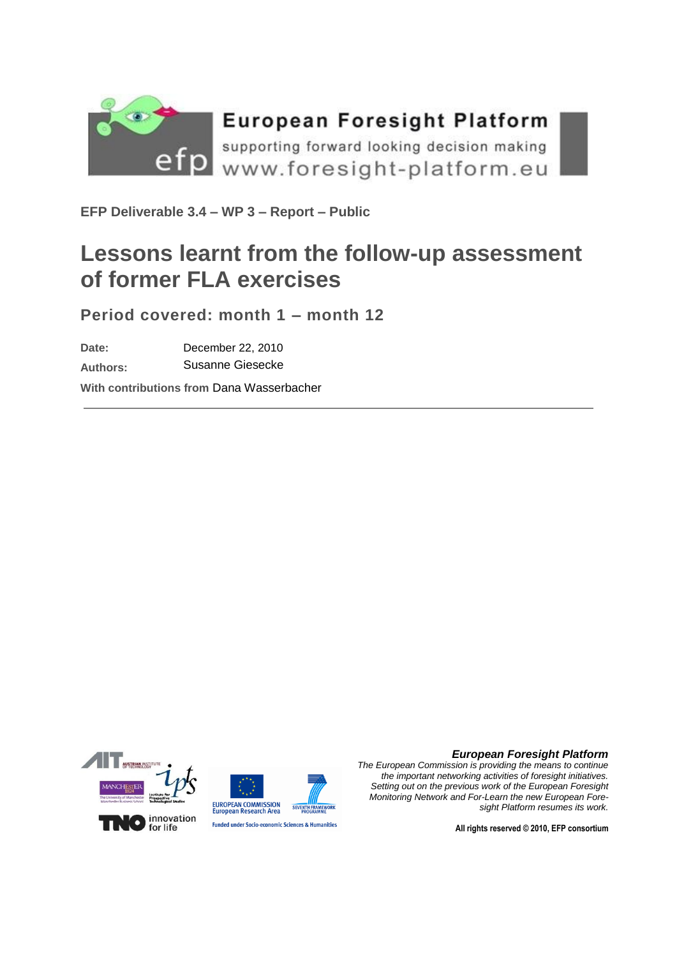

# **European Foresight Platform**

supporting forward looking decision making Www.foresight-platform.eu

**EFP Deliverable 3.4 – WP 3 – Report – Public**

# **Lessons learnt from the follow-up assessment of former FLA exercises**

**Period covered: month 1 – month 12**

**Date:** December 22, 2010

**Authors:** Susanne Giesecke

**With contributions from** Dana Wasserbacher





**Funded under Socio-economic Sciences & Humanities** 

#### *European Foresight Platform*

*The European Commission is providing the means to continue the important networking activities of foresight initiatives. Setting out on the previous work of the European Foresight Monitoring Network and For-Learn the new European Foresight Platform resumes its work.*

**All rights reserved © 2010, EFP consortium**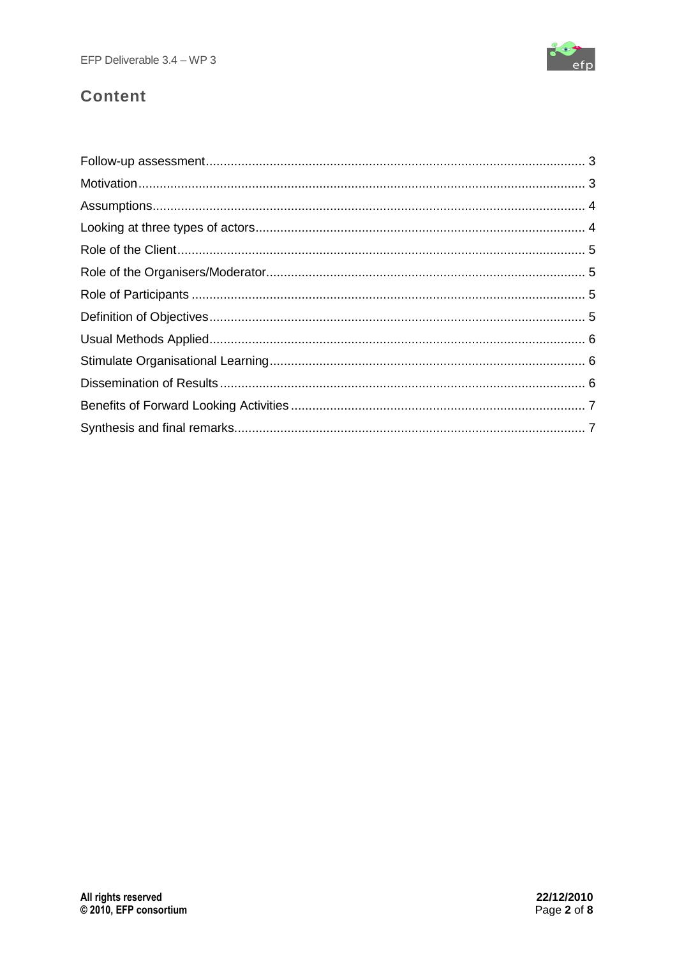

# **Content**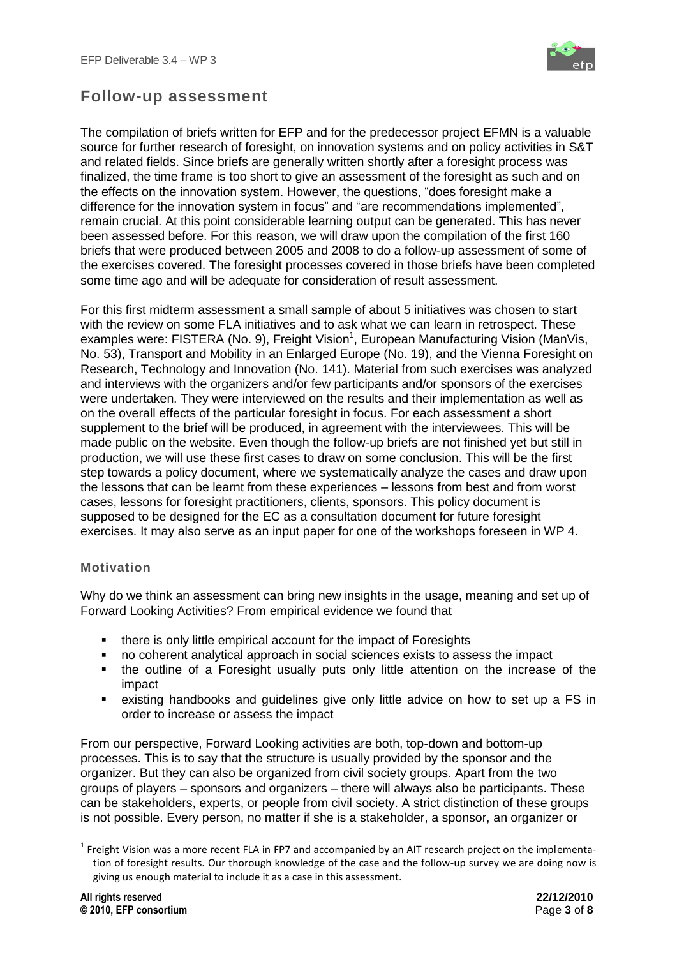

# <span id="page-2-0"></span>**Follow-up assessment**

The compilation of briefs written for EFP and for the predecessor project EFMN is a valuable source for further research of foresight, on innovation systems and on policy activities in S&T and related fields. Since briefs are generally written shortly after a foresight process was finalized, the time frame is too short to give an assessment of the foresight as such and on the effects on the innovation system. However, the questions, "does foresight make a difference for the innovation system in focus" and "are recommendations implemented", remain crucial. At this point considerable learning output can be generated. This has never been assessed before. For this reason, we will draw upon the compilation of the first 160 briefs that were produced between 2005 and 2008 to do a follow-up assessment of some of the exercises covered. The foresight processes covered in those briefs have been completed some time ago and will be adequate for consideration of result assessment.

For this first midterm assessment a small sample of about 5 initiatives was chosen to start with the review on some FLA initiatives and to ask what we can learn in retrospect. These examples were: FISTERA (No. 9), Freight Vision<sup>1</sup>, European Manufacturing Vision (ManVis, No. 53), Transport and Mobility in an Enlarged Europe (No. 19), and the Vienna Foresight on Research, Technology and Innovation (No. 141). Material from such exercises was analyzed and interviews with the organizers and/or few participants and/or sponsors of the exercises were undertaken. They were interviewed on the results and their implementation as well as on the overall effects of the particular foresight in focus. For each assessment a short supplement to the brief will be produced, in agreement with the interviewees. This will be made public on the website. Even though the follow-up briefs are not finished yet but still in production, we will use these first cases to draw on some conclusion. This will be the first step towards a policy document, where we systematically analyze the cases and draw upon the lessons that can be learnt from these experiences – lessons from best and from worst cases, lessons for foresight practitioners, clients, sponsors. This policy document is supposed to be designed for the EC as a consultation document for future foresight exercises. It may also serve as an input paper for one of the workshops foreseen in WP 4.

#### <span id="page-2-1"></span>**Motivation**

Why do we think an assessment can bring new insights in the usage, meaning and set up of Forward Looking Activities? From empirical evidence we found that

- there is only little empirical account for the impact of Foresights
- no coherent analytical approach in social sciences exists to assess the impact
- the outline of a Foresight usually puts only little attention on the increase of the impact
- existing handbooks and guidelines give only little advice on how to set up a FS in order to increase or assess the impact

From our perspective, Forward Looking activities are both, top-down and bottom-up processes. This is to say that the structure is usually provided by the sponsor and the organizer. But they can also be organized from civil society groups. Apart from the two groups of players – sponsors and organizers – there will always also be participants. These can be stakeholders, experts, or people from civil society. A strict distinction of these groups is not possible. Every person, no matter if she is a stakeholder, a sponsor, an organizer or

**.** 

<sup>&</sup>lt;sup>1</sup> Freight Vision was a more recent FLA in FP7 and accompanied by an AIT research project on the implementation of foresight results. Our thorough knowledge of the case and the follow-up survey we are doing now is giving us enough material to include it as a case in this assessment.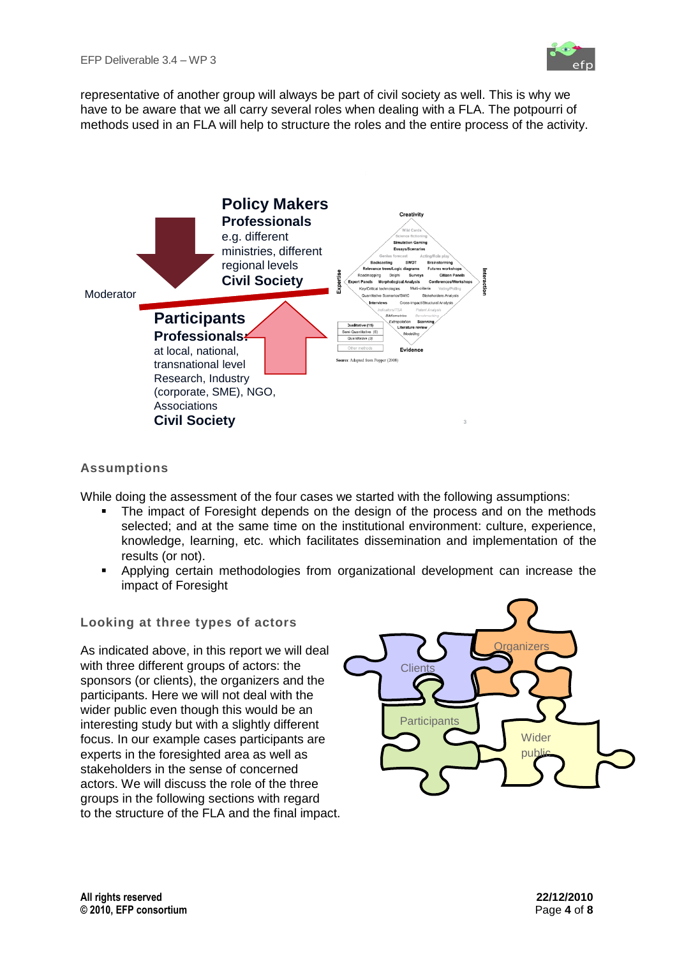representative of another group will always be part of civil society as well. This is why we have to be aware that we all carry several roles when dealing with a FLA. The potpourri of methods used in an FLA will help to structure the roles and the entire process of the activity.



## <span id="page-3-0"></span>**Assumptions**

While doing the assessment of the four cases we started with the following assumptions:

- The impact of Foresight depends on the design of the process and on the methods selected; and at the same time on the institutional environment: culture, experience, knowledge, learning, etc. which facilitates dissemination and implementation of the results (or not).
- Applying certain methodologies from organizational development can increase the impact of Foresight

#### <span id="page-3-1"></span>**Looking at three types of actors**

As indicated above, in this report we will deal with three different groups of actors: the sponsors (or clients), the organizers and the participants. Here we will not deal with the wider public even though this would be an interesting study but with a slightly different focus. In our example cases participants are experts in the foresighted area as well as stakeholders in the sense of concerned actors. We will discuss the role of the three groups in the following sections with regard to the structure of the FLA and the final impact.

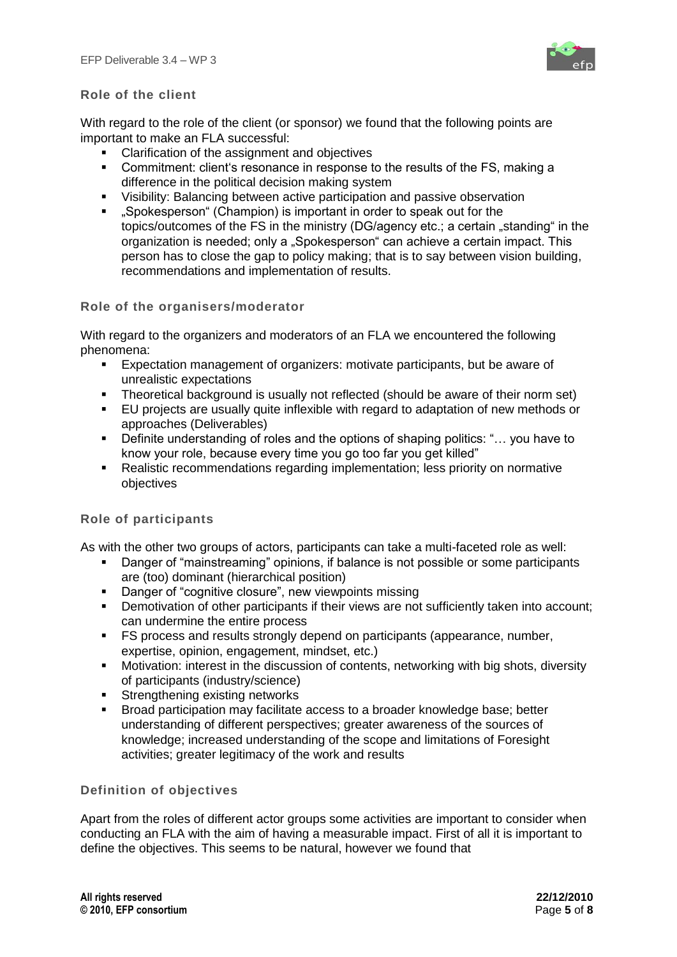

#### <span id="page-4-0"></span>**Role of the client**

With regard to the role of the client (or sponsor) we found that the following points are important to make an FLA successful:

- Clarification of the assignment and objectives
- **•** Commitment: client's resonance in response to the results of the FS, making a difference in the political decision making system
- Visibility: Balancing between active participation and passive observation
- "Spokesperson" (Champion) is important in order to speak out for the topics/outcomes of the FS in the ministry (DG/agency etc.; a certain "standing" in the organization is needed; only a "Spokesperson" can achieve a certain impact. This person has to close the gap to policy making; that is to say between vision building, recommendations and implementation of results.

#### <span id="page-4-1"></span>**Role of the organisers/moderator**

With regard to the organizers and moderators of an FLA we encountered the following phenomena:

- Expectation management of organizers: motivate participants, but be aware of unrealistic expectations
- Theoretical background is usually not reflected (should be aware of their norm set)
- EU projects are usually quite inflexible with regard to adaptation of new methods or approaches (Deliverables)
- Definite understanding of roles and the options of shaping politics: "... you have to know your role, because every time you go too far you get killed"
- Realistic recommendations regarding implementation; less priority on normative objectives

#### <span id="page-4-2"></span>**Role of participants**

As with the other two groups of actors, participants can take a multi-faceted role as well:

- **•** Danger of "mainstreaming" opinions, if balance is not possible or some participants are (too) dominant (hierarchical position)
- **•** Danger of "cognitive closure", new viewpoints missing
- Demotivation of other participants if their views are not sufficiently taken into account; can undermine the entire process
- **FS process and results strongly depend on participants (appearance, number, interally** expertise, opinion, engagement, mindset, etc.)
- Motivation: interest in the discussion of contents, networking with big shots, diversity of participants (industry/science)
- **Strengthening existing networks**
- Broad participation may facilitate access to a broader knowledge base; better understanding of different perspectives; greater awareness of the sources of knowledge; increased understanding of the scope and limitations of Foresight activities; greater legitimacy of the work and results

#### <span id="page-4-3"></span>**Definition of objectives**

Apart from the roles of different actor groups some activities are important to consider when conducting an FLA with the aim of having a measurable impact. First of all it is important to define the objectives. This seems to be natural, however we found that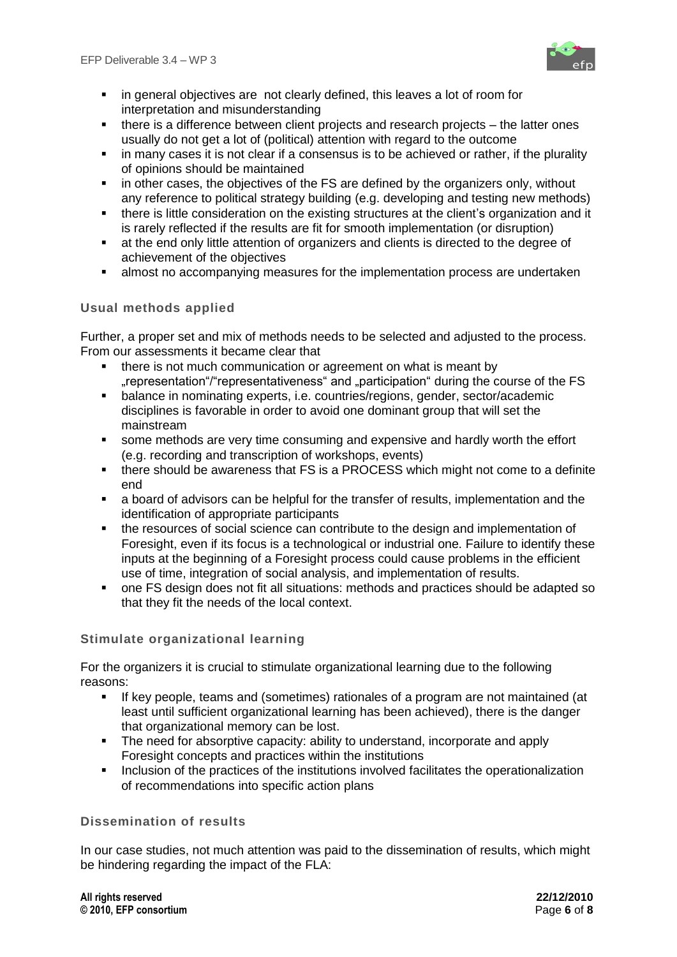

- **in general objectives are not clearly defined, this leaves a lot of room for** interpretation and misunderstanding
- there is a difference between client projects and research projects the latter ones usually do not get a lot of (political) attention with regard to the outcome
- in many cases it is not clear if a consensus is to be achieved or rather, if the plurality of opinions should be maintained
- **EXT** in other cases, the objectives of the FS are defined by the organizers only, without any reference to political strategy building (e.g. developing and testing new methods)
- there is little consideration on the existing structures at the client's organization and it is rarely reflected if the results are fit for smooth implementation (or disruption)
- at the end only little attention of organizers and clients is directed to the degree of achievement of the objectives
- almost no accompanying measures for the implementation process are undertaken

## <span id="page-5-0"></span>**Usual methods applied**

Further, a proper set and mix of methods needs to be selected and adjusted to the process. From our assessments it became clear that

- **there is not much communication or agreement on what is meant by** ..representation "/"representativeness" and ..participation " during the course of the FS
- balance in nominating experts, i.e. countries/regions, gender, sector/academic disciplines is favorable in order to avoid one dominant group that will set the mainstream
- some methods are very time consuming and expensive and hardly worth the effort (e.g. recording and transcription of workshops, events)
- there should be awareness that FS is a PROCESS which might not come to a definite end
- a board of advisors can be helpful for the transfer of results, implementation and the identification of appropriate participants
- the resources of social science can contribute to the design and implementation of Foresight, even if its focus is a technological or industrial one. Failure to identify these inputs at the beginning of a Foresight process could cause problems in the efficient use of time, integration of social analysis, and implementation of results.
- one FS design does not fit all situations: methods and practices should be adapted so that they fit the needs of the local context.

#### <span id="page-5-1"></span>**Stimulate organizational learning**

For the organizers it is crucial to stimulate organizational learning due to the following reasons:

- If key people, teams and (sometimes) rationales of a program are not maintained (at least until sufficient organizational learning has been achieved), there is the danger that organizational memory can be lost.
- The need for absorptive capacity: ability to understand, incorporate and apply Foresight concepts and practices within the institutions
- **I.** Inclusion of the practices of the institutions involved facilitates the operationalization of recommendations into specific action plans

### <span id="page-5-2"></span>**Dissemination of results**

In our case studies, not much attention was paid to the dissemination of results, which might be hindering regarding the impact of the FLA: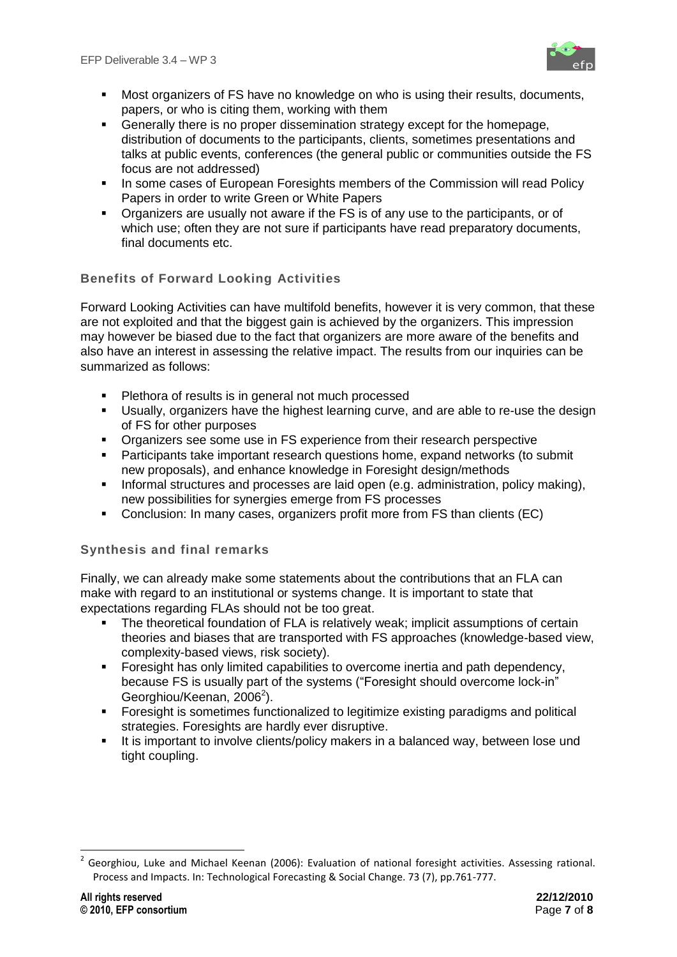

- Most organizers of FS have no knowledge on who is using their results, documents, papers, or who is citing them, working with them
- **EXECTE 15 IS A FIRST EXECTE FOR EXECTE FOR FIRST EXECTE FOR FIRST EXECTE FOR FIRST EXECTE FOR FIRST EXECTE FOR FIRST EXECTE FOR FIRST EXECTE FOR FIRST EXECTE FOR FIRST EXECTE FOR FIRST EXECTE FOR FIRST EXECTE FOR FIRST EX** distribution of documents to the participants, clients, sometimes presentations and talks at public events, conferences (the general public or communities outside the FS focus are not addressed)
- In some cases of European Foresights members of the Commission will read Policy Papers in order to write Green or White Papers
- Organizers are usually not aware if the FS is of any use to the participants, or of which use; often they are not sure if participants have read preparatory documents, final documents etc.

# <span id="page-6-0"></span>**Benefits of Forward Looking Activities**

Forward Looking Activities can have multifold benefits, however it is very common, that these are not exploited and that the biggest gain is achieved by the organizers. This impression may however be biased due to the fact that organizers are more aware of the benefits and also have an interest in assessing the relative impact. The results from our inquiries can be summarized as follows:

- **Plethora of results is in general not much processed**
- Usually, organizers have the highest learning curve, and are able to re-use the design of FS for other purposes
- **•** Organizers see some use in FS experience from their research perspective
- Participants take important research questions home, expand networks (to submit new proposals), and enhance knowledge in Foresight design/methods
- Informal structures and processes are laid open (e.g. administration, policy making), new possibilities for synergies emerge from FS processes
- Conclusion: In many cases, organizers profit more from FS than clients (EC)

## <span id="page-6-1"></span>**Synthesis and final remarks**

Finally, we can already make some statements about the contributions that an FLA can make with regard to an institutional or systems change. It is important to state that expectations regarding FLAs should not be too great.

- The theoretical foundation of FLA is relatively weak; implicit assumptions of certain theories and biases that are transported with FS approaches (knowledge-based view, complexity-based views, risk society).
- **Foresight has only limited capabilities to overcome inertia and path dependency,** because FS is usually part of the systems ("Foresight should overcome lock-in" Georghiou/Keenan, 2006<sup>2</sup>).
- Foresight is sometimes functionalized to legitimize existing paradigms and political strategies. Foresights are hardly ever disruptive.
- It is important to involve clients/policy makers in a balanced way, between lose und tight coupling.

**.** 

<sup>&</sup>lt;sup>2</sup> Georghiou, Luke and Michael Keenan (2006): Evaluation of national foresight activities. Assessing rational. Process and Impacts. In: Technological Forecasting & Social Change. 73 (7), pp.761-777.